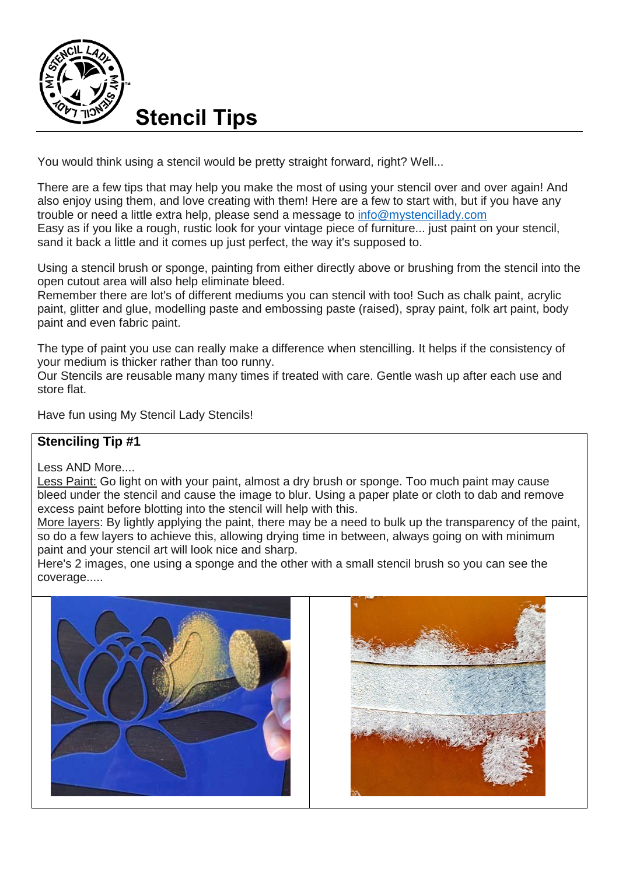

You would think using a stencil would be pretty straight forward, right? Well...

There are a few tips that may help you make the most of using your stencil over and over again! And also enjoy using them, and love creating with them! Here are a few to start with, but if you have any trouble or need a little extra help, please send a message to [info@mystencillady.com](mailto:info@mystencillady.com) Easy as if you like a rough, rustic look for your vintage piece of furniture... just paint on your stencil, sand it back a little and it comes up just perfect, the way it's supposed to.

Using a stencil brush or sponge, painting from either directly above or brushing from the stencil into the open cutout area will also help eliminate bleed.

Remember there are lot's of different mediums you can stencil with too! Such as chalk paint, acrylic paint, glitter and glue, modelling paste and embossing paste (raised), spray paint, folk art paint, body paint and even fabric paint.

The type of paint you use can really make a difference when stencilling. It helps if the consistency of your medium is thicker rather than too runny.

Our Stencils are reusable many many times if treated with care. Gentle wash up after each use and store flat.

Have fun using My Stencil Lady Stencils!

#### **Stenciling Tip #1**

Less AND More....

Less Paint: Go light on with your paint, almost a dry brush or sponge. Too much paint may cause bleed under the stencil and cause the image to blur. Using a paper plate or cloth to dab and remove excess paint before blotting into the stencil will help with this.

More layers: By lightly applying the paint, there may be a need to bulk up the transparency of the paint, so do a few layers to achieve this, allowing drying time in between, always going on with minimum paint and your stencil art will look nice and sharp.

Here's 2 images, one using a sponge and the other with a small stencil brush so you can see the coverage.....